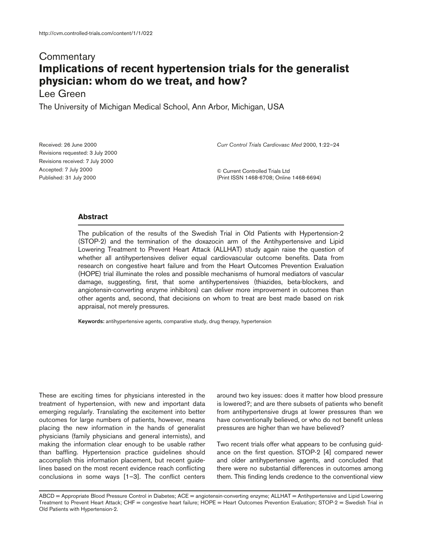## **Commentary Implications of recent hypertension trials for the generalist physician: whom do we treat, and how?**

## Lee Green

The University of Michigan Medical School, Ann Arbor, Michigan, USA

Received: 26 June 2000 Revisions requested: 3 July 2000 Revisions received: 7 July 2000 Accepted: 7 July 2000 Published: 31 July 2000

*Curr Control Trials Cardiovasc Med* 2000, **1**:22–24

© Current Controlled Trials Ltd (Print ISSN 1468-6708; Online 1468-6694)

## **Abstract**

The publication of the results of the Swedish Trial in Old Patients with Hypertension-2 (STOP-2) and the termination of the doxazocin arm of the Antihypertensive and Lipid Lowering Treatment to Prevent Heart Attack (ALLHAT) study again raise the question of whether all antihypertensives deliver equal cardiovascular outcome benefits. Data from research on congestive heart failure and from the Heart Outcomes Prevention Evaluation (HOPE) trial illuminate the roles and possible mechanisms of humoral mediators of vascular damage, suggesting, first, that some antihypertensives (thiazides, beta-blockers, and angiotensin-converting enzyme inhibitors) can deliver more improvement in outcomes than other agents and, second, that decisions on whom to treat are best made based on risk appraisal, not merely pressures.

**Keywords:** antihypertensive agents, comparative study, drug therapy, hypertension

These are exciting times for physicians interested in the treatment of hypertension, with new and important data emerging regularly. Translating the excitement into better outcomes for large numbers of patients, however, means placing the new information in the hands of generalist physicians (family physicians and general internists), and making the information clear enough to be usable rather than baffling. Hypertension practice guidelines should accomplish this information placement, but recent guidelines based on the most recent evidence reach conflicting conclusions in some ways [1–3]. The conflict centers

around two key issues: does it matter how blood pressure is lowered?; and are there subsets of patients who benefit from antihypertensive drugs at lower pressures than we have conventionally believed, or who do not benefit unless pressures are higher than we have believed?

Two recent trials offer what appears to be confusing guidance on the first question. STOP-2 [4] compared newer and older antihypertensive agents, and concluded that there were no substantial differences in outcomes among them. This finding lends credence to the conventional view

ABCD = Appropriate Blood Pressure Control in Diabetes; ACE = angiotensin-converting enzyme; ALLHAT = Antihypertensive and Lipid Lowering Treatment to Prevent Heart Attack; CHF = congestive heart failure; HOPE = Heart Outcomes Prevention Evaluation; STOP-2 = Swedish Trial in Old Patients with Hypertension-2.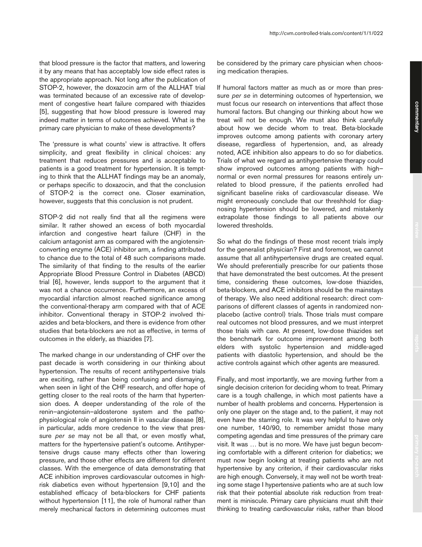that blood pressure is the factor that matters, and lowering it by any means that has acceptably low side effect rates is the appropriate approach. Not long after the publication of STOP-2, however, the doxazocin arm of the ALLHAT trial was terminated because of an excessive rate of development of congestive heart failure compared with thiazides [5], suggesting that how blood pressure is lowered may indeed matter in terms of outcomes achieved. What is the primary care physician to make of these developments?

The 'pressure is what counts' view is attractive. It offers simplicity, and great flexibility in clinical choices: any treatment that reduces pressures and is acceptable to patients is a good treatment for hypertension. It is tempting to think that the ALLHAT findings may be an anomaly, or perhaps specific to doxazocin, and that the conclusion of STOP-2 is the correct one. Closer examination, however, suggests that this conclusion is not prudent.

STOP-2 did not really find that all the regimens were similar. It rather showed an excess of both myocardial infarction and congestive heart failure (CHF) in the calcium antagonist arm as compared with the angiotensinconverting enzyme (ACE) inhibitor arm, a finding attributed to chance due to the total of 48 such comparisons made. The similarity of that finding to the results of the earlier Appropriate Blood Pressure Control in Diabetes (ABCD) trial [6], however, lends support to the argument that it was not a chance occurrence. Furthermore, an excess of myocardial infarction almost reached significance among the conventional-therapy arm compared with that of ACE inhibitor. Conventional therapy in STOP-2 involved thiazides and beta-blockers, and there is evidence from other studies that beta-blockers are not as effective, in terms of outcomes in the elderly, as thiazides [7].

The marked change in our understanding of CHF over the past decade is worth considering in our thinking about hypertension. The results of recent antihypertensive trials are exciting, rather than being confusing and dismaying, when seen in light of the CHF research, and offer hope of getting closer to the real roots of the harm that hypertension does. A deeper understanding of the role of the renin–angiotensin–aldosterone system and the pathophysiological role of angiotensin II in vascular disease [8], in particular, adds more credence to the view that pressure *per se* may not be all that, or even mostly what, matters for the hypertensive patient's outcome. Antihypertensive drugs cause many effects other than lowering pressure, and those other effects are different for different classes. With the emergence of data demonstrating that ACE inhibition improves cardiovascular outcomes in highrisk diabetics even without hypertension [9,10] and the established efficacy of beta-blockers for CHF patients without hypertension [11], the role of humoral rather than merely mechanical factors in determining outcomes must

be considered by the primary care physician when choosing medication therapies.

If humoral factors matter as much as or more than pressure *per se* in determining outcomes of hypertension, we must focus our research on interventions that affect those humoral factors. But changing our thinking about how we treat will not be enough. We must also think carefully about how we decide whom to treat. Beta-blockade improves outcome among patients with coronary artery disease, regardless of hypertension, and, as already noted, ACE inhibition also appears to do so for diabetics. Trials of what we regard as antihypertensive therapy could show improved outcomes among patients with high– normal or even normal pressures for reasons entirely unrelated to blood pressure, if the patients enrolled had significant baseline risks of cardiovascular disease. We might erroneously conclude that our threshhold for diagnosing hypertension should be lowered, and mistakenly extrapolate those findings to all patients above our lowered thresholds.

So what do the findings of these most recent trials imply for the generalist physician? First and foremost, we cannot assume that all antihypertensive drugs are created equal. We should preferentially prescribe for our patients those that have demonstrated the best outcomes. At the present time, considering these outcomes, low-dose thiazides, beta-blockers, and ACE inhibitors should be the mainstays of therapy. We also need additional research: direct comparisons of different classes of agents in randomized nonplacebo (active control) trials. Those trials must compare real outcomes not blood pressures, and we must interpret those trials with care. At present, low-dose thiazides set the benchmark for outcome improvement among both elders with systolic hypertension and middle-aged patients with diastolic hypertension, and should be the active controls against which other agents are measured.

Finally, and most importantly, we are moving further from a single decision criterion for deciding whom to treat. Primary care is a tough challenge, in which most patients have a number of health problems and concerns. Hypertension is only one player on the stage and, to the patient, it may not even have the starring role. It was very helpful to have only one number, 140/90, to remember amidst those many competing agendas and time pressures of the primary care visit. It was … but is no more. We have just begun becoming comfortable with a different criterion for diabetics; we must now begin looking at treating patients who are not hypertensive by any criterion, if their cardiovascular risks are high enough. Conversely, it may well not be worth treating some stage I hypertensive patients who are at such low risk that their potential absolute risk reduction from treatment is miniscule. Primary care physicians must shift their thinking to treating cardiovascular risks, rather than blood